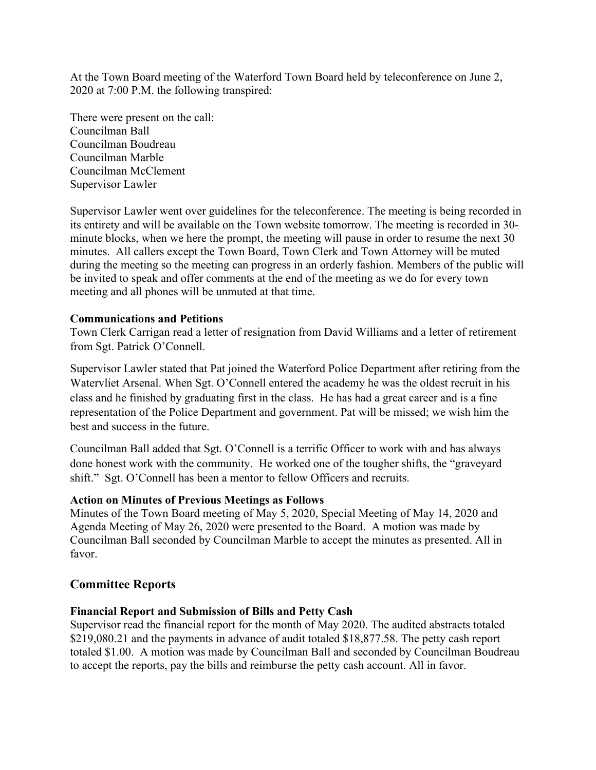At the Town Board meeting of the Waterford Town Board held by teleconference on June 2, 2020 at 7:00 P.M. the following transpired:

There were present on the call: Councilman Ball Councilman Boudreau Councilman Marble Councilman McClement Supervisor Lawler

Supervisor Lawler went over guidelines for the teleconference. The meeting is being recorded in its entirety and will be available on the Town website tomorrow. The meeting is recorded in 30 minute blocks, when we here the prompt, the meeting will pause in order to resume the next 30 minutes. All callers except the Town Board, Town Clerk and Town Attorney will be muted during the meeting so the meeting can progress in an orderly fashion. Members of the public will be invited to speak and offer comments at the end of the meeting as we do for every town meeting and all phones will be unmuted at that time.

### **Communications and Petitions**

Town Clerk Carrigan read a letter of resignation from David Williams and a letter of retirement from Sgt. Patrick O'Connell.

Supervisor Lawler stated that Pat joined the Waterford Police Department after retiring from the Watervliet Arsenal. When Sgt. O'Connell entered the academy he was the oldest recruit in his class and he finished by graduating first in the class. He has had a great career and is a fine representation of the Police Department and government. Pat will be missed; we wish him the best and success in the future.

Councilman Ball added that Sgt. O'Connell is a terrific Officer to work with and has always done honest work with the community. He worked one of the tougher shifts, the "graveyard shift." Sgt. O'Connell has been a mentor to fellow Officers and recruits.

#### **Action on Minutes of Previous Meetings as Follows**

Minutes of the Town Board meeting of May 5, 2020, Special Meeting of May 14, 2020 and Agenda Meeting of May 26, 2020 were presented to the Board. A motion was made by Councilman Ball seconded by Councilman Marble to accept the minutes as presented. All in favor.

## **Committee Reports**

#### **Financial Report and Submission of Bills and Petty Cash**

Supervisor read the financial report for the month of May 2020. The audited abstracts totaled \$219,080.21 and the payments in advance of audit totaled \$18,877.58. The petty cash report totaled \$1.00. A motion was made by Councilman Ball and seconded by Councilman Boudreau to accept the reports, pay the bills and reimburse the petty cash account. All in favor.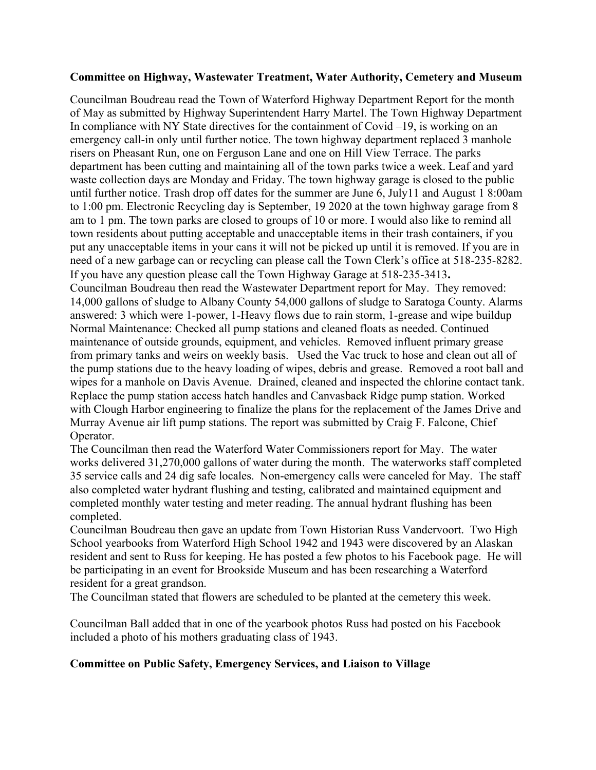### **Committee on Highway, Wastewater Treatment, Water Authority, Cemetery and Museum**

Councilman Boudreau read the Town of Waterford Highway Department Report for the month of May as submitted by Highway Superintendent Harry Martel. The Town Highway Department In compliance with NY State directives for the containment of  $Covid-19$ , is working on an emergency call-in only until further notice. The town highway department replaced 3 manhole risers on Pheasant Run, one on Ferguson Lane and one on Hill View Terrace. The parks department has been cutting and maintaining all of the town parks twice a week. Leaf and yard waste collection days are Monday and Friday. The town highway garage is closed to the public until further notice. Trash drop off dates for the summer are June 6, July11 and August 1 8:00am to 1:00 pm. Electronic Recycling day is September, 19 2020 at the town highway garage from 8 am to 1 pm. The town parks are closed to groups of 10 or more. I would also like to remind all town residents about putting acceptable and unacceptable items in their trash containers, if you put any unacceptable items in your cans it will not be picked up until it is removed. If you are in need of a new garbage can or recycling can please call the Town Clerk's office at 518-235-8282. If you have any question please call the Town Highway Garage at 518-235-3413**.**  Councilman Boudreau then read the Wastewater Department report for May. They removed: 14,000 gallons of sludge to Albany County 54,000 gallons of sludge to Saratoga County. Alarms answered: 3 which were 1-power, 1-Heavy flows due to rain storm, 1-grease and wipe buildup Normal Maintenance: Checked all pump stations and cleaned floats as needed. Continued maintenance of outside grounds, equipment, and vehicles. Removed influent primary grease from primary tanks and weirs on weekly basis. Used the Vac truck to hose and clean out all of the pump stations due to the heavy loading of wipes, debris and grease. Removed a root ball and wipes for a manhole on Davis Avenue. Drained, cleaned and inspected the chlorine contact tank. Replace the pump station access hatch handles and Canvasback Ridge pump station. Worked with Clough Harbor engineering to finalize the plans for the replacement of the James Drive and

Murray Avenue air lift pump stations. The report was submitted by Craig F. Falcone, Chief Operator.

The Councilman then read the Waterford Water Commissioners report for May. The water works delivered 31,270,000 gallons of water during the month. The waterworks staff completed 35 service calls and 24 dig safe locales. Non-emergency calls were canceled for May. The staff also completed water hydrant flushing and testing, calibrated and maintained equipment and completed monthly water testing and meter reading. The annual hydrant flushing has been completed.

Councilman Boudreau then gave an update from Town Historian Russ Vandervoort. Two High School yearbooks from Waterford High School 1942 and 1943 were discovered by an Alaskan resident and sent to Russ for keeping. He has posted a few photos to his Facebook page. He will be participating in an event for Brookside Museum and has been researching a Waterford resident for a great grandson.

The Councilman stated that flowers are scheduled to be planted at the cemetery this week.

Councilman Ball added that in one of the yearbook photos Russ had posted on his Facebook included a photo of his mothers graduating class of 1943.

## **Committee on Public Safety, Emergency Services, and Liaison to Village**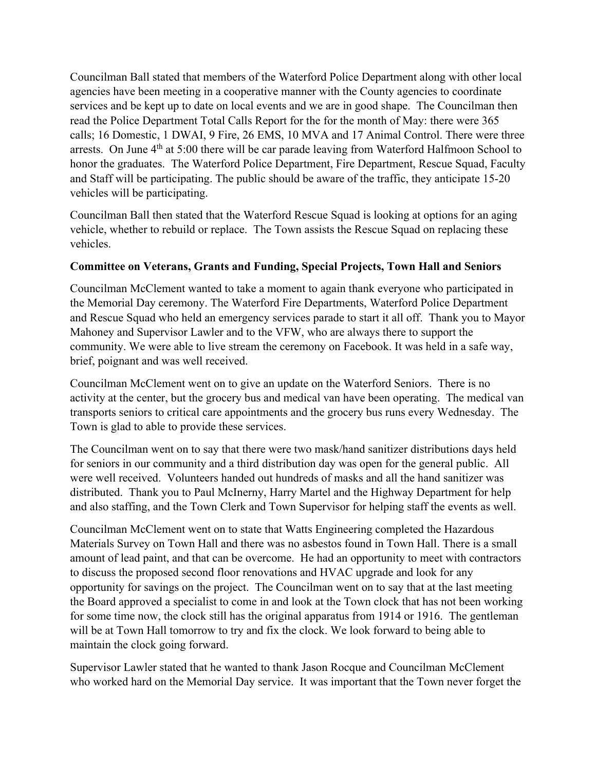Councilman Ball stated that members of the Waterford Police Department along with other local agencies have been meeting in a cooperative manner with the County agencies to coordinate services and be kept up to date on local events and we are in good shape. The Councilman then read the Police Department Total Calls Report for the for the month of May: there were 365 calls; 16 Domestic, 1 DWAI, 9 Fire, 26 EMS, 10 MVA and 17 Animal Control. There were three arrests. On June 4<sup>th</sup> at 5:00 there will be car parade leaving from Waterford Halfmoon School to honor the graduates. The Waterford Police Department, Fire Department, Rescue Squad, Faculty and Staff will be participating. The public should be aware of the traffic, they anticipate 15-20 vehicles will be participating.

Councilman Ball then stated that the Waterford Rescue Squad is looking at options for an aging vehicle, whether to rebuild or replace. The Town assists the Rescue Squad on replacing these vehicles.

# **Committee on Veterans, Grants and Funding, Special Projects, Town Hall and Seniors**

Councilman McClement wanted to take a moment to again thank everyone who participated in the Memorial Day ceremony. The Waterford Fire Departments, Waterford Police Department and Rescue Squad who held an emergency services parade to start it all off. Thank you to Mayor Mahoney and Supervisor Lawler and to the VFW, who are always there to support the community. We were able to live stream the ceremony on Facebook. It was held in a safe way, brief, poignant and was well received.

Councilman McClement went on to give an update on the Waterford Seniors. There is no activity at the center, but the grocery bus and medical van have been operating. The medical van transports seniors to critical care appointments and the grocery bus runs every Wednesday. The Town is glad to able to provide these services.

The Councilman went on to say that there were two mask/hand sanitizer distributions days held for seniors in our community and a third distribution day was open for the general public. All were well received. Volunteers handed out hundreds of masks and all the hand sanitizer was distributed. Thank you to Paul McInerny, Harry Martel and the Highway Department for help and also staffing, and the Town Clerk and Town Supervisor for helping staff the events as well.

Councilman McClement went on to state that Watts Engineering completed the Hazardous Materials Survey on Town Hall and there was no asbestos found in Town Hall. There is a small amount of lead paint, and that can be overcome. He had an opportunity to meet with contractors to discuss the proposed second floor renovations and HVAC upgrade and look for any opportunity for savings on the project. The Councilman went on to say that at the last meeting the Board approved a specialist to come in and look at the Town clock that has not been working for some time now, the clock still has the original apparatus from 1914 or 1916. The gentleman will be at Town Hall tomorrow to try and fix the clock. We look forward to being able to maintain the clock going forward.

Supervisor Lawler stated that he wanted to thank Jason Rocque and Councilman McClement who worked hard on the Memorial Day service. It was important that the Town never forget the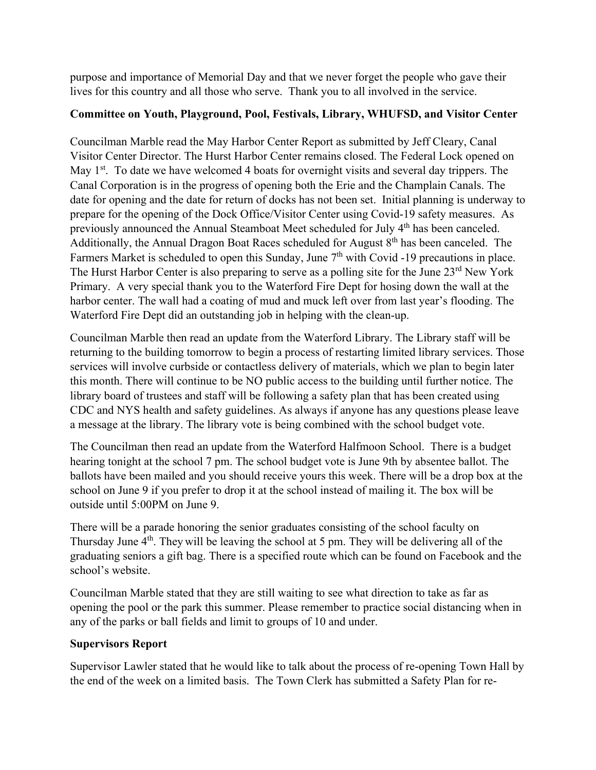purpose and importance of Memorial Day and that we never forget the people who gave their lives for this country and all those who serve. Thank you to all involved in the service.

# **Committee on Youth, Playground, Pool, Festivals, Library, WHUFSD, and Visitor Center**

Councilman Marble read the May Harbor Center Report as submitted by Jeff Cleary, Canal Visitor Center Director. The Hurst Harbor Center remains closed. The Federal Lock opened on May 1<sup>st</sup>. To date we have welcomed 4 boats for overnight visits and several day trippers. The Canal Corporation is in the progress of opening both the Erie and the Champlain Canals. The date for opening and the date for return of docks has not been set. Initial planning is underway to prepare for the opening of the Dock Office/Visitor Center using Covid-19 safety measures. As previously announced the Annual Steamboat Meet scheduled for July 4<sup>th</sup> has been canceled. Additionally, the Annual Dragon Boat Races scheduled for August  $8<sup>th</sup>$  has been canceled. The Farmers Market is scheduled to open this Sunday, June  $7<sup>th</sup>$  with Covid -19 precautions in place. The Hurst Harbor Center is also preparing to serve as a polling site for the June 23<sup>rd</sup> New York Primary. A very special thank you to the Waterford Fire Dept for hosing down the wall at the harbor center. The wall had a coating of mud and muck left over from last year's flooding. The Waterford Fire Dept did an outstanding job in helping with the clean-up.

Councilman Marble then read an update from the Waterford Library. The Library staff will be returning to the building tomorrow to begin a process of restarting limited library services. Those services will involve curbside or contactless delivery of materials, which we plan to begin later this month. There will continue to be NO public access to the building until further notice. The library board of trustees and staff will be following a safety plan that has been created using CDC and NYS health and safety guidelines. As always if anyone has any questions please leave a message at the library. The library vote is being combined with the school budget vote.

The Councilman then read an update from the Waterford Halfmoon School. There is a budget hearing tonight at the school 7 pm. The school budget vote is June 9th by absentee ballot. The ballots have been mailed and you should receive yours this week. There will be a drop box at the school on June 9 if you prefer to drop it at the school instead of mailing it. The box will be outside until 5:00PM on June 9.

There will be a parade honoring the senior graduates consisting of the school faculty on Thursday June  $4<sup>th</sup>$ . They will be leaving the school at 5 pm. They will be delivering all of the graduating seniors a gift bag. There is a specified route which can be found on Facebook and the school's website.

Councilman Marble stated that they are still waiting to see what direction to take as far as opening the pool or the park this summer. Please remember to practice social distancing when in any of the parks or ball fields and limit to groups of 10 and under.

## **Supervisors Report**

Supervisor Lawler stated that he would like to talk about the process of re-opening Town Hall by the end of the week on a limited basis. The Town Clerk has submitted a Safety Plan for re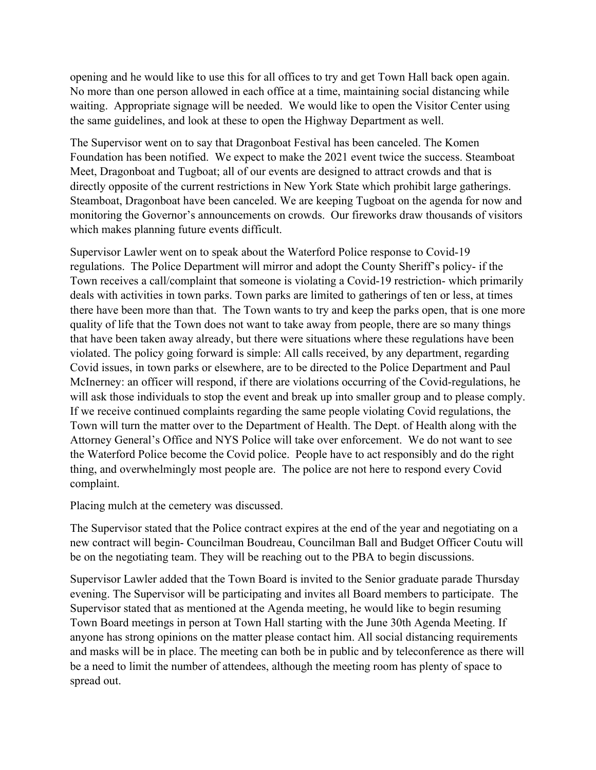opening and he would like to use this for all offices to try and get Town Hall back open again. No more than one person allowed in each office at a time, maintaining social distancing while waiting. Appropriate signage will be needed. We would like to open the Visitor Center using the same guidelines, and look at these to open the Highway Department as well.

The Supervisor went on to say that Dragonboat Festival has been canceled. The Komen Foundation has been notified. We expect to make the 2021 event twice the success. Steamboat Meet, Dragonboat and Tugboat; all of our events are designed to attract crowds and that is directly opposite of the current restrictions in New York State which prohibit large gatherings. Steamboat, Dragonboat have been canceled. We are keeping Tugboat on the agenda for now and monitoring the Governor's announcements on crowds. Our fireworks draw thousands of visitors which makes planning future events difficult.

Supervisor Lawler went on to speak about the Waterford Police response to Covid-19 regulations. The Police Department will mirror and adopt the County Sheriff's policy- if the Town receives a call/complaint that someone is violating a Covid-19 restriction- which primarily deals with activities in town parks. Town parks are limited to gatherings of ten or less, at times there have been more than that. The Town wants to try and keep the parks open, that is one more quality of life that the Town does not want to take away from people, there are so many things that have been taken away already, but there were situations where these regulations have been violated. The policy going forward is simple: All calls received, by any department, regarding Covid issues, in town parks or elsewhere, are to be directed to the Police Department and Paul McInerney: an officer will respond, if there are violations occurring of the Covid-regulations, he will ask those individuals to stop the event and break up into smaller group and to please comply. If we receive continued complaints regarding the same people violating Covid regulations, the Town will turn the matter over to the Department of Health. The Dept. of Health along with the Attorney General's Office and NYS Police will take over enforcement. We do not want to see the Waterford Police become the Covid police. People have to act responsibly and do the right thing, and overwhelmingly most people are. The police are not here to respond every Covid complaint.

Placing mulch at the cemetery was discussed.

The Supervisor stated that the Police contract expires at the end of the year and negotiating on a new contract will begin- Councilman Boudreau, Councilman Ball and Budget Officer Coutu will be on the negotiating team. They will be reaching out to the PBA to begin discussions.

Supervisor Lawler added that the Town Board is invited to the Senior graduate parade Thursday evening. The Supervisor will be participating and invites all Board members to participate. The Supervisor stated that as mentioned at the Agenda meeting, he would like to begin resuming Town Board meetings in person at Town Hall starting with the June 30th Agenda Meeting. If anyone has strong opinions on the matter please contact him. All social distancing requirements and masks will be in place. The meeting can both be in public and by teleconference as there will be a need to limit the number of attendees, although the meeting room has plenty of space to spread out.